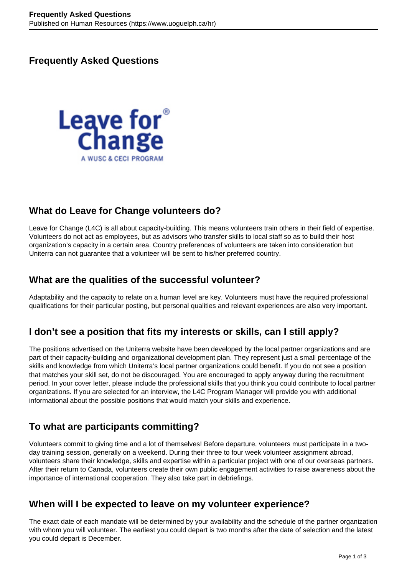# **Frequently Asked Questions**



# **What do Leave for Change volunteers do?**

Leave for Change (L4C) is all about capacity-building. This means volunteers train others in their field of expertise. Volunteers do not act as employees, but as advisors who transfer skills to local staff so as to build their host organization's capacity in a certain area. Country preferences of volunteers are taken into consideration but Uniterra can not guarantee that a volunteer will be sent to his/her preferred country.

# **What are the qualities of the successful volunteer?**

Adaptability and the capacity to relate on a human level are key. Volunteers must have the required professional qualifications for their particular posting, but personal qualities and relevant experiences are also very important.

# **I don't see a position that fits my interests or skills, can I still apply?**

The positions advertised on the Uniterra website have been developed by the local partner organizations and are part of their capacity-building and organizational development plan. They represent just a small percentage of the skills and knowledge from which Uniterra's local partner organizations could benefit. If you do not see a position that matches your skill set, do not be discouraged. You are encouraged to apply anyway during the recruitment period. In your cover letter, please include the professional skills that you think you could contribute to local partner organizations. If you are selected for an interview, the L4C Program Manager will provide you with additional informational about the possible positions that would match your skills and experience.

# **To what are participants committing?**

Volunteers commit to giving time and a lot of themselves! Before departure, volunteers must participate in a twoday training session, generally on a weekend. During their three to four week volunteer assignment abroad, volunteers share their knowledge, skills and expertise within a particular project with one of our overseas partners. After their return to Canada, volunteers create their own public engagement activities to raise awareness about the importance of international cooperation. They also take part in debriefings.

#### **When will I be expected to leave on my volunteer experience?**

The exact date of each mandate will be determined by your availability and the schedule of the partner organization with whom you will volunteer. The earliest you could depart is two months after the date of selection and the latest you could depart is December.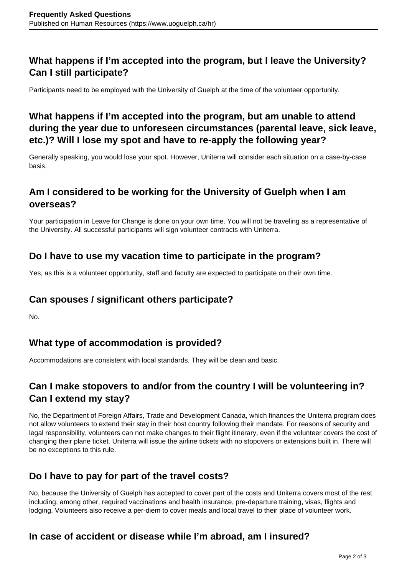# **What happens if I'm accepted into the program, but I leave the University? Can I still participate?**

Participants need to be employed with the University of Guelph at the time of the volunteer opportunity.

# **What happens if I'm accepted into the program, but am unable to attend during the year due to unforeseen circumstances (parental leave, sick leave, etc.)? Will I lose my spot and have to re-apply the following year?**

Generally speaking, you would lose your spot. However, Uniterra will consider each situation on a case-by-case basis.

# **Am I considered to be working for the University of Guelph when I am overseas?**

Your participation in Leave for Change is done on your own time. You will not be traveling as a representative of the University. All successful participants will sign volunteer contracts with Uniterra.

#### **Do I have to use my vacation time to participate in the program?**

Yes, as this is a volunteer opportunity, staff and faculty are expected to participate on their own time.

# **Can spouses / significant others participate?**

No.

# **What type of accommodation is provided?**

Accommodations are consistent with local standards. They will be clean and basic.

# **Can I make stopovers to and/or from the country I will be volunteering in? Can I extend my stay?**

No, the Department of Foreign Affairs, Trade and Development Canada, which finances the Uniterra program does not allow volunteers to extend their stay in their host country following their mandate. For reasons of security and legal responsibility, volunteers can not make changes to their flight itinerary, even if the volunteer covers the cost of changing their plane ticket. Uniterra will issue the airline tickets with no stopovers or extensions built in. There will be no exceptions to this rule.

# **Do I have to pay for part of the travel costs?**

No, because the University of Guelph has accepted to cover part of the costs and Uniterra covers most of the rest including, among other, required vaccinations and health insurance, pre-departure training, visas, flights and lodging. Volunteers also receive a per-diem to cover meals and local travel to their place of volunteer work.

# **In case of accident or disease while I'm abroad, am I insured?**